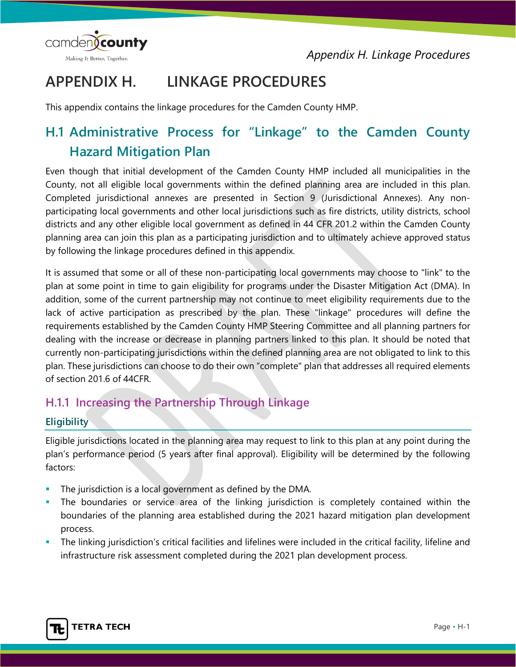*Appendix H. Linkage Procedures*



# **APPENDIX H. LINKAGE PROCEDURES**

This appendix contains the linkage procedures for the Camden County HMP.

## **H.1 Administrative Process for "Linkage" to the Camden County Hazard Mitigation Plan**

Even though that initial development of the Camden County HMP included all municipalities in the County, not all eligible local governments within the defined planning area are included in this plan. Completed jurisdictional annexes are presented in Section 9 (Jurisdictional Annexes). Any nonparticipating local governments and other local jurisdictions such as fire districts, utility districts, school districts and any other eligible local government as defined in 44 CFR 201.2 within the Camden County planning area can join this plan as a participating jurisdiction and to ultimately achieve approved status by following the linkage procedures defined in this appendix.

It is assumed that some or all of these non-participating local governments may choose to "link" to the plan at some point in time to gain eligibility for programs under the Disaster Mitigation Act (DMA). In addition, some of the current partnership may not continue to meet eligibility requirements due to the lack of active participation as prescribed by the plan. These "linkage" procedures will define the requirements established by the Camden County HMP Steering Committee and all planning partners for dealing with the increase or decrease in planning partners linked to this plan. It should be noted that currently non-participating jurisdictions within the defined planning area are not obligated to link to this plan. These jurisdictions can choose to do their own "complete" plan that addresses all required elements of section 201.6 of 44CFR.

### **H.1.1 Increasing the Partnership Through Linkage**

#### **Eligibility**

Eligible jurisdictions located in the planning area may request to link to this plan at any point during the plan's performance period (5 years after final approval). Eligibility will be determined by the following factors:

- The jurisdiction is a local government as defined by the DMA.
- The boundaries or service area of the linking jurisdiction is completely contained within the boundaries of the planning area established during the 2021 hazard mitigation plan development process.
- The linking jurisdiction's critical facilities and lifelines were included in the critical facility, lifeline and infrastructure risk assessment completed during the 2021 plan development process.

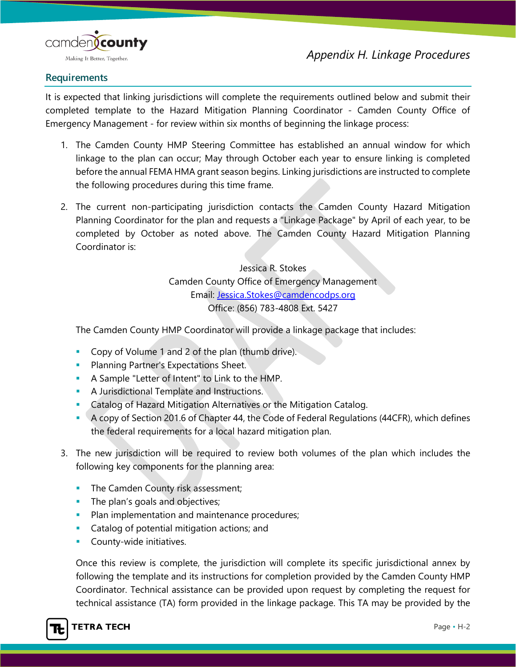

#### **Requirements**

It is expected that linking jurisdictions will complete the requirements outlined below and submit their completed template to the Hazard Mitigation Planning Coordinator - Camden County Office of Emergency Management - for review within six months of beginning the linkage process:

- 1. The Camden County HMP Steering Committee has established an annual window for which linkage to the plan can occur; May through October each year to ensure linking is completed before the annual FEMA HMA grant season begins. Linking jurisdictions are instructed to complete the following procedures during this time frame.
- 2. The current non-participating jurisdiction contacts the Camden County Hazard Mitigation Planning Coordinator for the plan and requests a "Linkage Package" by April of each year, to be completed by October as noted above. The Camden County Hazard Mitigation Planning Coordinator is:

Jessica R. Stokes Camden County Office of Emergency Management Email: [Jessica.Stokes@camdencodps.org](mailto:Jessica.Stokes@camdencodps.org) Office: (856) 783-4808 Ext. 5427

The Camden County HMP Coordinator will provide a linkage package that includes:

- Copy of Volume 1 and 2 of the plan (thumb drive).
- **Planning Partner's Expectations Sheet.**
- A Sample "Letter of Intent" to Link to the HMP.
- **A Jurisdictional Template and Instructions.**
- **Catalog of Hazard Mitigation Alternatives or the Mitigation Catalog.**
- A copy of Section 201.6 of Chapter 44, the Code of Federal Regulations (44CFR), which defines the federal requirements for a local hazard mitigation plan.
- 3. The new jurisdiction will be required to review both volumes of the plan which includes the following key components for the planning area:
	- **The Camden County risk assessment;**
	- **The plan's goals and objectives;**
	- Plan implementation and maintenance procedures;
	- **Catalog of potential mitigation actions; and**
	- **County-wide initiatives.**

Once this review is complete, the jurisdiction will complete its specific jurisdictional annex by following the template and its instructions for completion provided by the Camden County HMP Coordinator. Technical assistance can be provided upon request by completing the request for technical assistance (TA) form provided in the linkage package. This TA may be provided by the

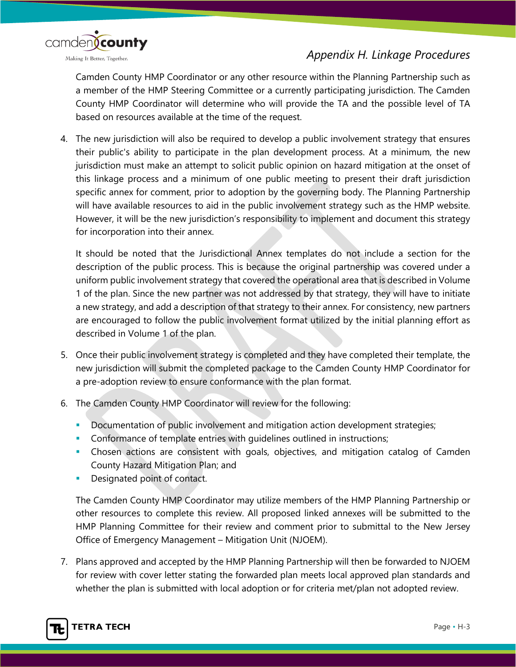

## *Appendix H. Linkage Procedures*

Camden County HMP Coordinator or any other resource within the Planning Partnership such as a member of the HMP Steering Committee or a currently participating jurisdiction. The Camden County HMP Coordinator will determine who will provide the TA and the possible level of TA based on resources available at the time of the request.

4. The new jurisdiction will also be required to develop a public involvement strategy that ensures their public's ability to participate in the plan development process. At a minimum, the new jurisdiction must make an attempt to solicit public opinion on hazard mitigation at the onset of this linkage process and a minimum of one public meeting to present their draft jurisdiction specific annex for comment, prior to adoption by the governing body. The Planning Partnership will have available resources to aid in the public involvement strategy such as the HMP website. However, it will be the new jurisdiction's responsibility to implement and document this strategy for incorporation into their annex.

It should be noted that the Jurisdictional Annex templates do not include a section for the description of the public process. This is because the original partnership was covered under a uniform public involvement strategy that covered the operational area that is described in Volume 1 of the plan. Since the new partner was not addressed by that strategy, they will have to initiate a new strategy, and add a description of that strategy to their annex. For consistency, new partners are encouraged to follow the public involvement format utilized by the initial planning effort as described in Volume 1 of the plan.

- 5. Once their public involvement strategy is completed and they have completed their template, the new jurisdiction will submit the completed package to the Camden County HMP Coordinator for a pre-adoption review to ensure conformance with the plan format.
- 6. The Camden County HMP Coordinator will review for the following:
	- Documentation of public involvement and mitigation action development strategies;
	- Conformance of template entries with guidelines outlined in instructions;
	- Chosen actions are consistent with goals, objectives, and mitigation catalog of Camden County Hazard Mitigation Plan; and
	- **Designated point of contact.**

The Camden County HMP Coordinator may utilize members of the HMP Planning Partnership or other resources to complete this review. All proposed linked annexes will be submitted to the HMP Planning Committee for their review and comment prior to submittal to the New Jersey Office of Emergency Management – Mitigation Unit (NJOEM).

7. Plans approved and accepted by the HMP Planning Partnership will then be forwarded to NJOEM for review with cover letter stating the forwarded plan meets local approved plan standards and whether the plan is submitted with local adoption or for criteria met/plan not adopted review.